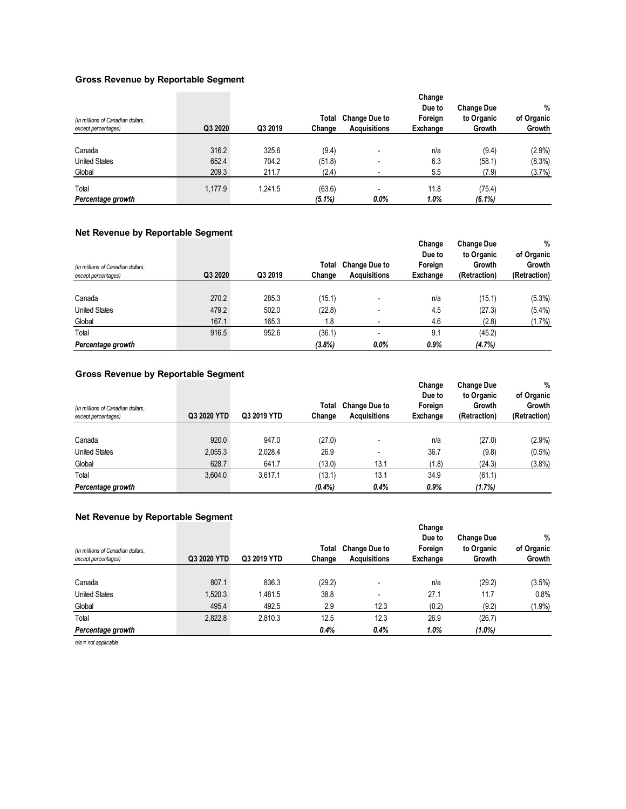#### **Gross Revenue by Reportable Segment**

| (In millions of Canadian dollars,<br>except percentages) | Q3 2020 | Q3 2019 | Total<br>Change     | <b>Change Due to</b><br><b>Acquisitions</b> | Change<br>Due to<br>Foreign<br>Exchange | <b>Change Due</b><br>to Organic<br>Growth | %<br>of Organic<br>Growth |
|----------------------------------------------------------|---------|---------|---------------------|---------------------------------------------|-----------------------------------------|-------------------------------------------|---------------------------|
| Canada                                                   | 316.2   | 325.6   | (9.4)               | $\overline{\phantom{a}}$                    | n/a                                     | (9.4)                                     | $(2.9\%)$                 |
| <b>United States</b>                                     | 652.4   | 704.2   | (51.8)              | -                                           | 6.3                                     | (58.1)                                    | $(8.3\%)$                 |
| Global                                                   | 209.3   | 211.7   | (2.4)               |                                             | 5.5                                     | (7.9)                                     | (3.7%)                    |
| Total<br>Percentage growth                               | 1,177.9 | 1.241.5 | (63.6)<br>$(5.1\%)$ | -<br>$0.0\%$                                | 11.8<br>1.0%                            | (75.4)<br>$(6.1\%)$                       |                           |

#### **Net Revenue by Reportable Segment**

| (In millions of Canadian dollars,<br>except percentages) | Q3 2020 | Q3 2019 | Total<br>Change | <b>Change Due to</b><br><b>Acquisitions</b> | Change<br>Due to<br>Foreign<br>Exchange | <b>Change Due</b><br>to Organic<br>Growth<br>(Retraction) | %<br>of Organic<br>Growth<br>(Retraction) |
|----------------------------------------------------------|---------|---------|-----------------|---------------------------------------------|-----------------------------------------|-----------------------------------------------------------|-------------------------------------------|
|                                                          |         |         |                 |                                             |                                         |                                                           |                                           |
| Canada                                                   | 270.2   | 285.3   | (15.1)          | -                                           | n/a                                     | (15.1)                                                    | $(5.3\%)$                                 |
| <b>United States</b>                                     | 479.2   | 502.0   | (22.8)          |                                             | 4.5                                     | (27.3)                                                    | $(5.4\%)$                                 |
| Global                                                   | 167.1   | 165.3   | 1.8             |                                             | 4.6                                     | (2.8)                                                     | (1.7%)                                    |
| Total                                                    | 916.5   | 952.6   | (36.1)          |                                             | 9.1                                     | (45.2)                                                    |                                           |
| Percentage growth                                        |         |         | (3.8%)          | $0.0\%$                                     | 0.9%                                    | (4.7%)                                                    |                                           |

### **Gross Revenue by Reportable Segment**

| (In millions of Canadian dollars,<br>except percentages) | Q3 2020 YTD | Q3 2019 YTD | Total<br>Change | <b>Change Due to</b><br><b>Acquisitions</b> | Change<br>Due to<br>Foreign<br>Exchange | <b>Change Due</b><br>to Organic<br>Growth<br>(Retraction) | %<br>of Organic<br>Growth<br>(Retraction) |
|----------------------------------------------------------|-------------|-------------|-----------------|---------------------------------------------|-----------------------------------------|-----------------------------------------------------------|-------------------------------------------|
|                                                          |             |             |                 |                                             |                                         |                                                           |                                           |
| Canada                                                   | 920.0       | 947.0       | (27.0)          |                                             | n/a                                     | (27.0)                                                    | $(2.9\%)$                                 |
| <b>United States</b>                                     | 2,055.3     | 2,028.4     | 26.9            | $\overline{\phantom{0}}$                    | 36.7                                    | (9.8)                                                     | $(0.5\%)$                                 |
| Global                                                   | 628.7       | 641.7       | (13.0)          | 13.1                                        | (1.8)                                   | (24.3)                                                    | $(3.8\%)$                                 |
| Total                                                    | 3,604.0     | 3.617.1     | (13.1)          | 13.1                                        | 34.9                                    | (61.1)                                                    |                                           |
| Percentage growth                                        |             |             | (0.4%           | 0.4%                                        | 0.9%                                    | (1.7%)                                                    |                                           |

#### **Net Revenue by Reportable Segment**

| (In millions of Canadian dollars,<br>except percentages) | Q3 2020 YTD | Q3 2019 YTD | Total<br>Change | <b>Change Due to</b><br><b>Acquisitions</b> | Change<br>Due to<br>Foreign<br>Exchange | <b>Change Due</b><br>to Organic<br>Growth | %<br>of Organic<br>Growth |
|----------------------------------------------------------|-------------|-------------|-----------------|---------------------------------------------|-----------------------------------------|-------------------------------------------|---------------------------|
|                                                          |             |             |                 |                                             |                                         |                                           |                           |
| Canada                                                   | 807.1       | 836.3       | (29.2)          |                                             | n/a                                     | (29.2)                                    | $(3.5\%)$                 |
| <b>United States</b>                                     | 520.3       | 1,481.5     | 38.8            |                                             | 27.1                                    | 11.7                                      | 0.8%                      |
| Global                                                   | 495.4       | 492.5       | 2.9             | 12.3                                        | (0.2)                                   | (9.2)                                     | (1.9%)                    |
| Total                                                    | 2,822.8     | 2,810.3     | 12.5            | 12.3                                        | 26.9                                    | (26.7)                                    |                           |
| Percentage growth                                        |             |             | 0.4%            | 0.4%                                        | 1.0%                                    | $(1.0\%)$                                 |                           |

*n/a = not applicable*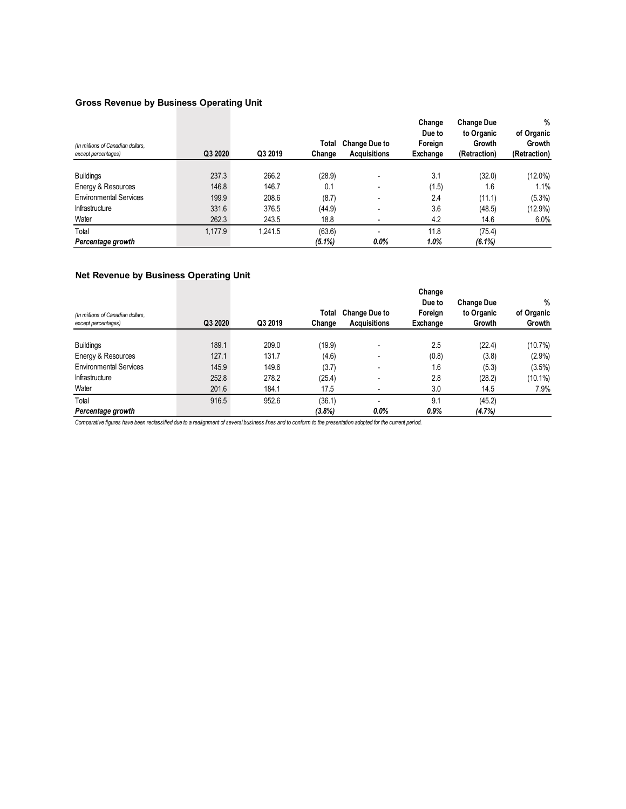### **Gross Revenue by Business Operating Unit**

| (In millions of Canadian dollars,<br>except percentages) | Q3 2020 | Q3 2019 | Total<br>Change | <b>Change Due to</b><br><b>Acquisitions</b> | Change<br>Due to<br>Foreign<br>Exchange | <b>Change Due</b><br>to Organic<br>Growth<br>(Retraction) | %<br>of Organic<br>Growth<br>(Retraction) |
|----------------------------------------------------------|---------|---------|-----------------|---------------------------------------------|-----------------------------------------|-----------------------------------------------------------|-------------------------------------------|
|                                                          |         |         |                 |                                             |                                         |                                                           |                                           |
| <b>Buildings</b>                                         | 237.3   | 266.2   | (28.9)          | $\overline{\phantom{a}}$                    | 3.1                                     | (32.0)                                                    | $(12.0\%)$                                |
| Energy & Resources                                       | 146.8   | 146.7   | 0.1             | $\overline{\phantom{a}}$                    | (1.5)                                   | 1.6                                                       | 1.1%                                      |
| <b>Environmental Services</b>                            | 199.9   | 208.6   | (8.7)           | $\overline{\phantom{0}}$                    | 2.4                                     | (11.1)                                                    | $(5.3\%)$                                 |
| Infrastructure                                           | 331.6   | 376.5   | (44.9)          | $\overline{\phantom{0}}$                    | 3.6                                     | (48.5)                                                    | $(12.9\%)$                                |
| Water                                                    | 262.3   | 243.5   | 18.8            |                                             | 4.2                                     | 14.6                                                      | 6.0%                                      |
| Total                                                    | 1.177.9 | 1.241.5 | (63.6)          | $\overline{\phantom{a}}$                    | 11.8                                    | (75.4)                                                    |                                           |
| Percentage growth                                        |         |         | $(5.1\%)$       | 0.0%                                        | 1.0%                                    | $(6.1\%)$                                                 |                                           |

#### **Net Revenue by Business Operating Unit**

| (In millions of Canadian dollars,<br>except percentages) | Q3 2020 | Q3 2019 | Total<br>Change | <b>Change Due to</b><br><b>Acquisitions</b> | Change<br>Due to<br>Foreign<br>Exchange | <b>Change Due</b><br>to Organic<br>Growth | $\%$<br>of Organic<br>Growth |
|----------------------------------------------------------|---------|---------|-----------------|---------------------------------------------|-----------------------------------------|-------------------------------------------|------------------------------|
|                                                          |         |         |                 |                                             |                                         |                                           |                              |
| <b>Buildings</b>                                         | 189.1   | 209.0   | (19.9)          | $\overline{\phantom{0}}$                    | 2.5                                     | (22.4)                                    | $(10.7\%)$                   |
| Energy & Resources                                       | 127.1   | 131.7   | (4.6)           | $\overline{\phantom{0}}$                    | (0.8)                                   | (3.8)                                     | $(2.9\%)$                    |
| <b>Environmental Services</b>                            | 145.9   | 149.6   | (3.7)           | $\overline{\phantom{0}}$                    | 1.6                                     | (5.3)                                     | $(3.5\%)$                    |
| Infrastructure                                           | 252.8   | 278.2   | (25.4)          | $\overline{\phantom{0}}$                    | 2.8                                     | (28.2)                                    | (10.1%)                      |
| Water                                                    | 201.6   | 184.1   | 17.5            | $\overline{\phantom{a}}$                    | 3.0                                     | 14.5                                      | 7.9%                         |
| Total                                                    | 916.5   | 952.6   | (36.1)          |                                             | 9.1                                     | (45.2)                                    |                              |
| Percentage growth                                        |         |         | (3.8%)          | $0.0\%$                                     | 0.9%                                    | (4.7%)                                    |                              |

*Comparative figures have been reclassified due to a realignment of several business lines and to conform to the presentation adopted for the current period.*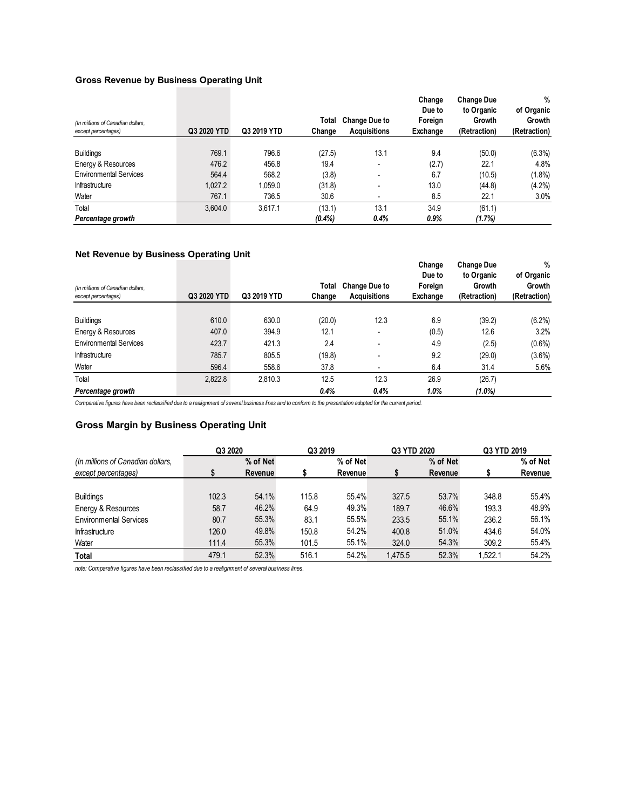#### **Gross Revenue by Business Operating Unit**

| (In millions of Canadian dollars,<br>except percentages) | Q3 2020 YTD | Q3 2019 YTD | Total<br>Change | <b>Change Due to</b><br><b>Acquisitions</b> | Change<br>Due to<br>Foreign<br>Exchange | <b>Change Due</b><br>to Organic<br>Growth<br>(Retraction) | %<br>of Organic<br>Growth<br>(Retraction) |
|----------------------------------------------------------|-------------|-------------|-----------------|---------------------------------------------|-----------------------------------------|-----------------------------------------------------------|-------------------------------------------|
|                                                          |             |             |                 |                                             |                                         |                                                           |                                           |
| <b>Buildings</b>                                         | 769.1       | 796.6       | (27.5)          | 13.1                                        | 9.4                                     | (50.0)                                                    | (6.3%)                                    |
| Energy & Resources                                       | 476.2       | 456.8       | 19.4            |                                             | (2.7)                                   | 22.1                                                      | 4.8%                                      |
| <b>Environmental Services</b>                            | 564.4       | 568.2       | (3.8)           | <b>100</b>                                  | 6.7                                     | (10.5)                                                    | $(1.8\%)$                                 |
| Infrastructure                                           | 1.027.2     | 1.059.0     | (31.8)          | $\overline{\phantom{a}}$                    | 13.0                                    | (44.8)                                                    | $(4.2\%)$                                 |
| Water                                                    | 767.1       | 736.5       | 30.6            |                                             | 8.5                                     | 22.1                                                      | 3.0%                                      |
| Total                                                    | 3,604.0     | 3.617.1     | (13.1)          | 13.1                                        | 34.9                                    | (61.1)                                                    |                                           |
| Percentage growth                                        |             |             | $(0.4\%)$       | 0.4%                                        | 0.9%                                    | (1.7%)                                                    |                                           |

#### **Net Revenue by Business Operating Unit**

| (In millions of Canadian dollars,<br>except percentages) | Q3 2020 YTD | Q3 2019 YTD | Total<br>Change | <b>Change Due to</b><br><b>Acquisitions</b> | Change<br>Due to<br>Foreign<br>Exchange | <b>Change Due</b><br>to Organic<br>Growth<br>(Retraction) | %<br>of Organic<br>Growth<br>(Retraction) |
|----------------------------------------------------------|-------------|-------------|-----------------|---------------------------------------------|-----------------------------------------|-----------------------------------------------------------|-------------------------------------------|
|                                                          |             |             |                 |                                             |                                         |                                                           |                                           |
| <b>Buildings</b>                                         | 610.0       | 630.0       | (20.0)          | 12.3                                        | 6.9                                     | (39.2)                                                    | $(6.2\%)$                                 |
| Energy & Resources                                       | 407.0       | 394.9       | 12.1            | $\overline{\phantom{a}}$                    | (0.5)                                   | 12.6                                                      | 3.2%                                      |
| <b>Environmental Services</b>                            | 423.7       | 421.3       | 2.4             |                                             | 4.9                                     | (2.5)                                                     | $(0.6\%)$                                 |
| Infrastructure                                           | 785.7       | 805.5       | (19.8)          | ۰                                           | 9.2                                     | (29.0)                                                    | $(3.6\%)$                                 |
| Water                                                    | 596.4       | 558.6       | 37.8            |                                             | 6.4                                     | 31.4                                                      | 5.6%                                      |
| Total                                                    | 2,822.8     | 2,810.3     | 12.5            | 12.3                                        | 26.9                                    | (26.7)                                                    |                                           |
| Percentage growth                                        |             |             | 0.4%            | 0.4%                                        | 1.0%                                    | $(1.0\%)$                                                 |                                           |

*Comparative figures have been reclassified due to a realignment of several business lines and to conform to the presentation adopted for the current period.* 

#### **Gross Margin by Business Operating Unit**

|                                   | Q3 2020 |          | Q3 2019 |                | Q3 YTD 2020 |          | Q3 YTD 2019 |          |
|-----------------------------------|---------|----------|---------|----------------|-------------|----------|-------------|----------|
| (In millions of Canadian dollars, |         | % of Net |         | % of Net       |             | % of Net |             | % of Net |
| except percentages)               |         | Revenue  |         | <b>Revenue</b> | S           | Revenue  |             | Revenue  |
|                                   |         |          |         |                |             |          |             |          |
| <b>Buildings</b>                  | 102.3   | 54.1%    | 115.8   | 55.4%          | 327.5       | 53.7%    | 348.8       | 55.4%    |
| Energy & Resources                | 58.7    | 46.2%    | 64.9    | 49.3%          | 189.7       | 46.6%    | 193.3       | 48.9%    |
| <b>Environmental Services</b>     | 80.7    | 55.3%    | 83.1    | 55.5%          | 233.5       | 55.1%    | 236.2       | 56.1%    |
| Infrastructure                    | 126.0   | 49.8%    | 150.8   | 54.2%          | 400.8       | 51.0%    | 434.6       | 54.0%    |
| Water                             | 111.4   | 55.3%    | 101.5   | 55.1%          | 324.0       | 54.3%    | 309.2       | 55.4%    |
| <b>Total</b>                      | 479.1   | 52.3%    | 516.1   | 54.2%          | 1.475.5     | 52.3%    | 1.522.1     | 54.2%    |

*note: Comparative figures have been reclassified due to a realignment of several business lines.*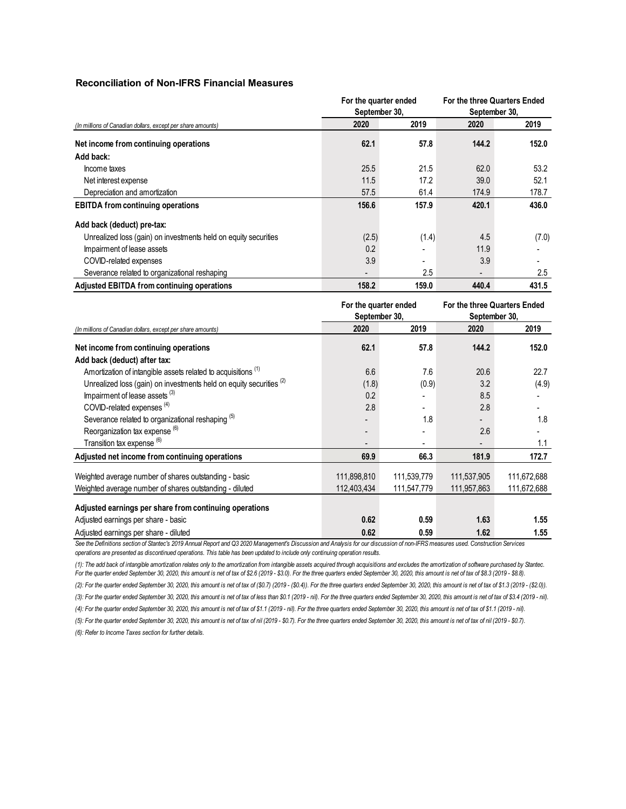#### **Reconciliation of Non-IFRS Financial Measures**

|                                                                 | For the quarter ended<br>September 30, |         | For the three Quarters Ended<br>September 30, |       |  |
|-----------------------------------------------------------------|----------------------------------------|---------|-----------------------------------------------|-------|--|
| (In millions of Canadian dollars, except per share amounts)     | 2020                                   | 2019    | 2020                                          | 2019  |  |
| Net income from continuing operations                           | 62.1                                   | 57.8    | 144.2                                         | 152.0 |  |
| Add back:                                                       |                                        |         |                                               |       |  |
| Income taxes                                                    | 25.5                                   | 21.5    | 62.0                                          | 53.2  |  |
| Net interest expense                                            | 11.5                                   | 17.2    | 39.0                                          | 52.1  |  |
| Depreciation and amortization                                   | 57.5                                   | 61.4    | 174.9                                         | 178.7 |  |
| <b>EBITDA</b> from continuing operations                        | 156.6                                  | 157.9   | 420.1                                         | 436.0 |  |
| Add back (deduct) pre-tax:                                      |                                        |         |                                               |       |  |
| Unrealized loss (gain) on investments held on equity securities | (2.5)                                  | (1.4)   | 4.5                                           | (7.0) |  |
| Impairment of lease assets                                      | 0.2                                    |         | 11.9                                          |       |  |
| COVID-related expenses                                          | 3.9                                    |         | 3.9                                           |       |  |
| Severance related to organizational reshaping                   |                                        | $2.5\,$ | $\blacksquare$                                | 2.5   |  |
| Adjusted EBITDA from continuing operations                      | 158.2                                  | 159.0   | 440.4                                         | 431.5 |  |

|                                                                                | For the quarter ended<br>September 30, |             | For the three Quarters Ended<br>September 30, |             |  |
|--------------------------------------------------------------------------------|----------------------------------------|-------------|-----------------------------------------------|-------------|--|
| (In millions of Canadian dollars, except per share amounts)                    | 2020                                   | 2019        | 2020                                          | 2019        |  |
| Net income from continuing operations                                          | 62.1                                   | 57.8        | 144.2                                         | 152.0       |  |
| Add back (deduct) after tax:                                                   |                                        |             |                                               |             |  |
| Amortization of intangible assets related to acquisitions <sup>(1)</sup>       | 6.6                                    | 7.6         | 20.6                                          | 22.7        |  |
| Unrealized loss (gain) on investments held on equity securities <sup>(2)</sup> | (1.8)                                  | (0.9)       | 3.2                                           | (4.9)       |  |
| Impairment of lease assets (3)                                                 | 0.2                                    |             | 8.5                                           |             |  |
| COVID-related expenses <sup>(4)</sup>                                          | 2.8                                    |             | 2.8                                           |             |  |
| Severance related to organizational reshaping <sup>(5)</sup>                   |                                        | 1.8         |                                               | 1.8         |  |
| Reorganization tax expense <sup>(6)</sup>                                      |                                        |             | 2.6                                           |             |  |
| Transition tax expense <sup>(6)</sup>                                          |                                        |             |                                               | 1.1         |  |
| Adjusted net income from continuing operations                                 | 69.9                                   | 66.3        | 181.9                                         | 172.7       |  |
| Weighted average number of shares outstanding - basic                          | 111,898,810                            | 111,539,779 | 111,537,905                                   | 111,672,688 |  |
| Weighted average number of shares outstanding - diluted                        | 112,403,434                            | 111,547,779 | 111,957,863                                   | 111,672,688 |  |
| Adjusted earnings per share from continuing operations                         |                                        |             |                                               |             |  |
| Adjusted earnings per share - basic                                            | 0.62                                   | 0.59        | 1.63                                          | 1.55        |  |
| Adjusted earnings per share - diluted                                          | 0.62                                   | 0.59        | 1.62                                          | 1.55        |  |

See the Definitions section of Stantec's 2019 Annual Report and Q3 2020 Management's Discussion and Analysis for our discussion of non-IFRS measures used. Construction Services *operations are presented as discontinued operations. This table has been updated to include only continuing operation results.*

*(5): For the quarter ended September 30, 2020, this amount is net of tax of nil (2019 - \$0.7). For the three quarters ended September 30, 2020, this amount is net of tax of nil (2019 - \$0.7). (3): For the quarter ended September 30, 2020, this amount is net of tax of less than \$0.1 (2019 - nil). For the three quarters ended September 30, 2020, this amount is net of tax of \$3.4 (2019 - nil). (4): For the quarter ended September 30, 2020, this amount is net of tax of \$1.1 (2019 - nil). For the three quarters ended September 30, 2020, this amount is net of tax of \$1.1 (2019 - nil). (1): The add back of intangible amortization relates only to the amortization from intangible assets acquired through acquisitions and excludes the amortization of software purchased by Stantec. For the quarter ended September 30, 2020, this amount is net of tax of \$2.6 (2019 - \$3.0). For the three quarters ended September 30, 2020, this amount is net of tax of \$8.3 (2019 - \$8.8). (2): For the quarter ended September 30, 2020, this amount is net of tax of (\$0.7) (2019 - (\$0.4)). For the three quarters ended September 30, 2020, this amount is net of tax of \$1.3 (2019 - (\$2.0)).*

*(6): Refer to Income Taxes section for further details.*